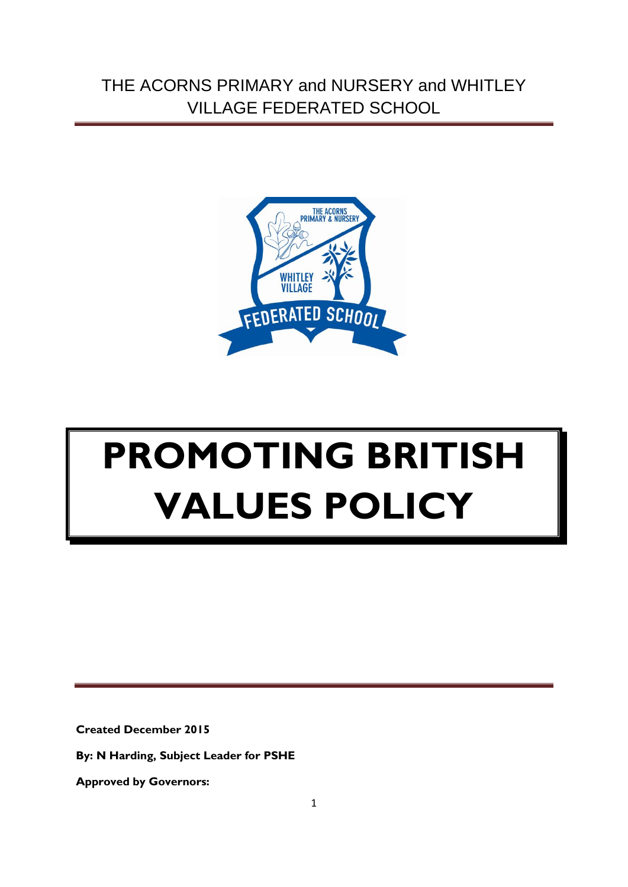THE ACORNS PRIMARY and NURSERY and WHITLEY VILLAGE FEDERATED SCHOOL



# **PROMOTING BRITISH VALUES POLICY**

**Created December 2015**

**By: N Harding, Subject Leader for PSHE**

**Approved by Governors:**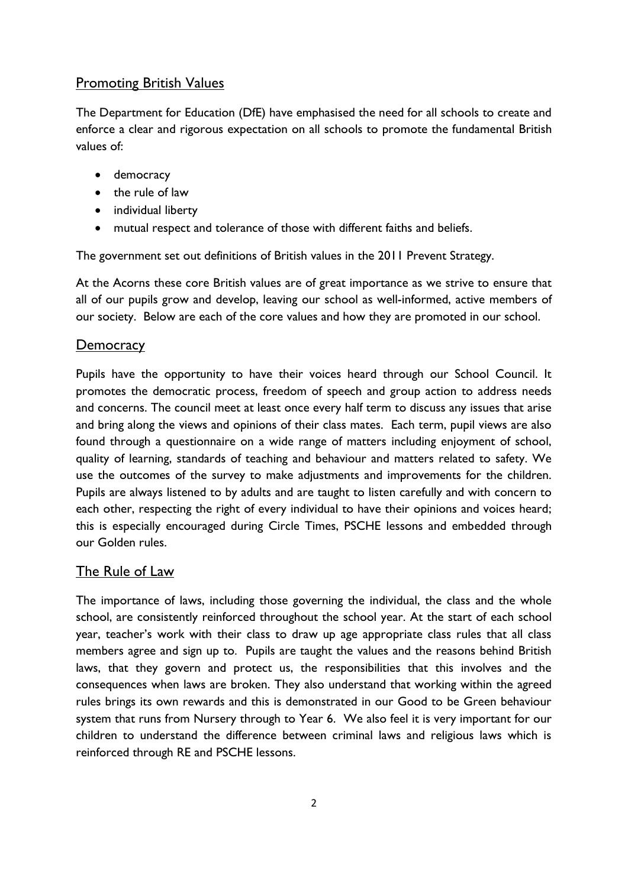## **Promoting British Values**

The Department for Education (DfE) have emphasised the need for all schools to create and enforce a clear and rigorous expectation on all schools to promote the fundamental British values of:

- democracy
- the rule of law
- individual liberty
- mutual respect and tolerance of those with different faiths and beliefs.

The government set out definitions of British values in the 2011 Prevent Strategy.

At the Acorns these core British values are of great importance as we strive to ensure that all of our pupils grow and develop, leaving our school as well-informed, active members of our society. Below are each of the core values and how they are promoted in our school.

### **Democracy**

Pupils have the opportunity to have their voices heard through our School Council. It promotes the democratic process, freedom of speech and group action to address needs and concerns. The council meet at least once every half term to discuss any issues that arise and bring along the views and opinions of their class mates. Each term, pupil views are also found through a questionnaire on a wide range of matters including enjoyment of school, quality of learning, standards of teaching and behaviour and matters related to safety. We use the outcomes of the survey to make adjustments and improvements for the children. Pupils are always listened to by adults and are taught to listen carefully and with concern to each other, respecting the right of every individual to have their opinions and voices heard; this is especially encouraged during Circle Times, PSCHE lessons and embedded through our Golden rules.

### The Rule of Law

The importance of laws, including those governing the individual, the class and the whole school, are consistently reinforced throughout the school year. At the start of each school year, teacher's work with their class to draw up age appropriate class rules that all class members agree and sign up to. Pupils are taught the values and the reasons behind British laws, that they govern and protect us, the responsibilities that this involves and the consequences when laws are broken. They also understand that working within the agreed rules brings its own rewards and this is demonstrated in our Good to be Green behaviour system that runs from Nursery through to Year 6. We also feel it is very important for our children to understand the difference between criminal laws and religious laws which is reinforced through RE and PSCHE lessons.